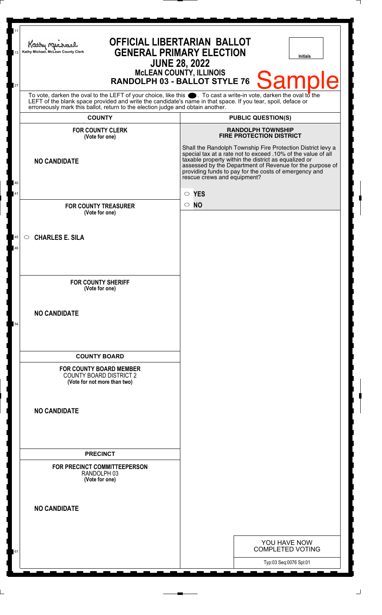| 11<br>13 | <b>OFFICIAL LIBERTARIAN BALLOT</b><br>Kathy Michael<br><b>GENERAL PRIMARY ELECTION</b><br>Kathy Michael, McLean County Clerk<br>Initials<br><b>JUNE 28, 2022</b>                                                                                                                                                             |                                                                                                                                                                                                                                                                                                                                         |
|----------|------------------------------------------------------------------------------------------------------------------------------------------------------------------------------------------------------------------------------------------------------------------------------------------------------------------------------|-----------------------------------------------------------------------------------------------------------------------------------------------------------------------------------------------------------------------------------------------------------------------------------------------------------------------------------------|
| 21       | <b>MCLEAN COUNTY, ILLINOIS</b><br>Sampl<br>Ie<br>RANDOLPH 03 - BALLOT STYLE 76                                                                                                                                                                                                                                               |                                                                                                                                                                                                                                                                                                                                         |
|          | To vote, darken the oval to the LEFT of your choice, like this $\bullet$ . To cast a write-in vote, darken the oval to the<br>LEFT of the blank space provided and write the candidate's name in that space. If you tear, spoil, deface or<br>erroneously mark this ballot, return to the election judge and obtain another. |                                                                                                                                                                                                                                                                                                                                         |
|          | <b>COUNTY</b>                                                                                                                                                                                                                                                                                                                | <b>PUBLIC QUESTION(S)</b>                                                                                                                                                                                                                                                                                                               |
|          | <b>FOR COUNTY CLERK</b><br>(Vote for one)                                                                                                                                                                                                                                                                                    | <b>RANDOLPH TOWNSHIP</b><br><b>FIRE PROTECTION DISTRICT</b>                                                                                                                                                                                                                                                                             |
| 40       | <b>NO CANDIDATE</b>                                                                                                                                                                                                                                                                                                          | Shall the Randolph Township Fire Protection District levy a<br>special tax at a rate not to exceed .10% of the value of all<br>taxable property within the district as equalized or<br>assessed by the Department of Revenue for the purpose of<br>providing funds to pay for the costs of emergency and<br>rescue crews and equipment? |
| 41       |                                                                                                                                                                                                                                                                                                                              | <b>YES</b><br>$\circ$                                                                                                                                                                                                                                                                                                                   |
|          | <b>FOR COUNTY TREASURER</b>                                                                                                                                                                                                                                                                                                  | $\circ$ NO                                                                                                                                                                                                                                                                                                                              |
|          | (Vote for one)                                                                                                                                                                                                                                                                                                               |                                                                                                                                                                                                                                                                                                                                         |
| 45<br>46 | <b>CHARLES E. SILA</b><br>$\circ$                                                                                                                                                                                                                                                                                            |                                                                                                                                                                                                                                                                                                                                         |
|          | <b>FOR COUNTY SHERIFF</b><br>(Vote for one)                                                                                                                                                                                                                                                                                  |                                                                                                                                                                                                                                                                                                                                         |
| 54       | <b>NO CANDIDATE</b>                                                                                                                                                                                                                                                                                                          |                                                                                                                                                                                                                                                                                                                                         |
|          | <b>COUNTY BOARD</b>                                                                                                                                                                                                                                                                                                          |                                                                                                                                                                                                                                                                                                                                         |
|          | <b>FOR COUNTY BOARD MEMBER</b><br><b>COUNTY BOARD DISTRICT 2</b><br>(Vote for not more than two)                                                                                                                                                                                                                             |                                                                                                                                                                                                                                                                                                                                         |
|          | <b>NO CANDIDATE</b>                                                                                                                                                                                                                                                                                                          |                                                                                                                                                                                                                                                                                                                                         |
|          | <b>PRECINCT</b>                                                                                                                                                                                                                                                                                                              |                                                                                                                                                                                                                                                                                                                                         |
|          | FOR PRECINCT COMMITTEEPERSON<br>RANDOLPH 03<br>(Vote for one)                                                                                                                                                                                                                                                                |                                                                                                                                                                                                                                                                                                                                         |
|          | <b>NO CANDIDATE</b>                                                                                                                                                                                                                                                                                                          |                                                                                                                                                                                                                                                                                                                                         |
|          |                                                                                                                                                                                                                                                                                                                              | YOU HAVE NOW                                                                                                                                                                                                                                                                                                                            |
| 61       |                                                                                                                                                                                                                                                                                                                              | <b>COMPLETED VOTING</b>                                                                                                                                                                                                                                                                                                                 |
|          |                                                                                                                                                                                                                                                                                                                              | Typ:03 Seq:0076 Spl:01                                                                                                                                                                                                                                                                                                                  |

 $\perp$